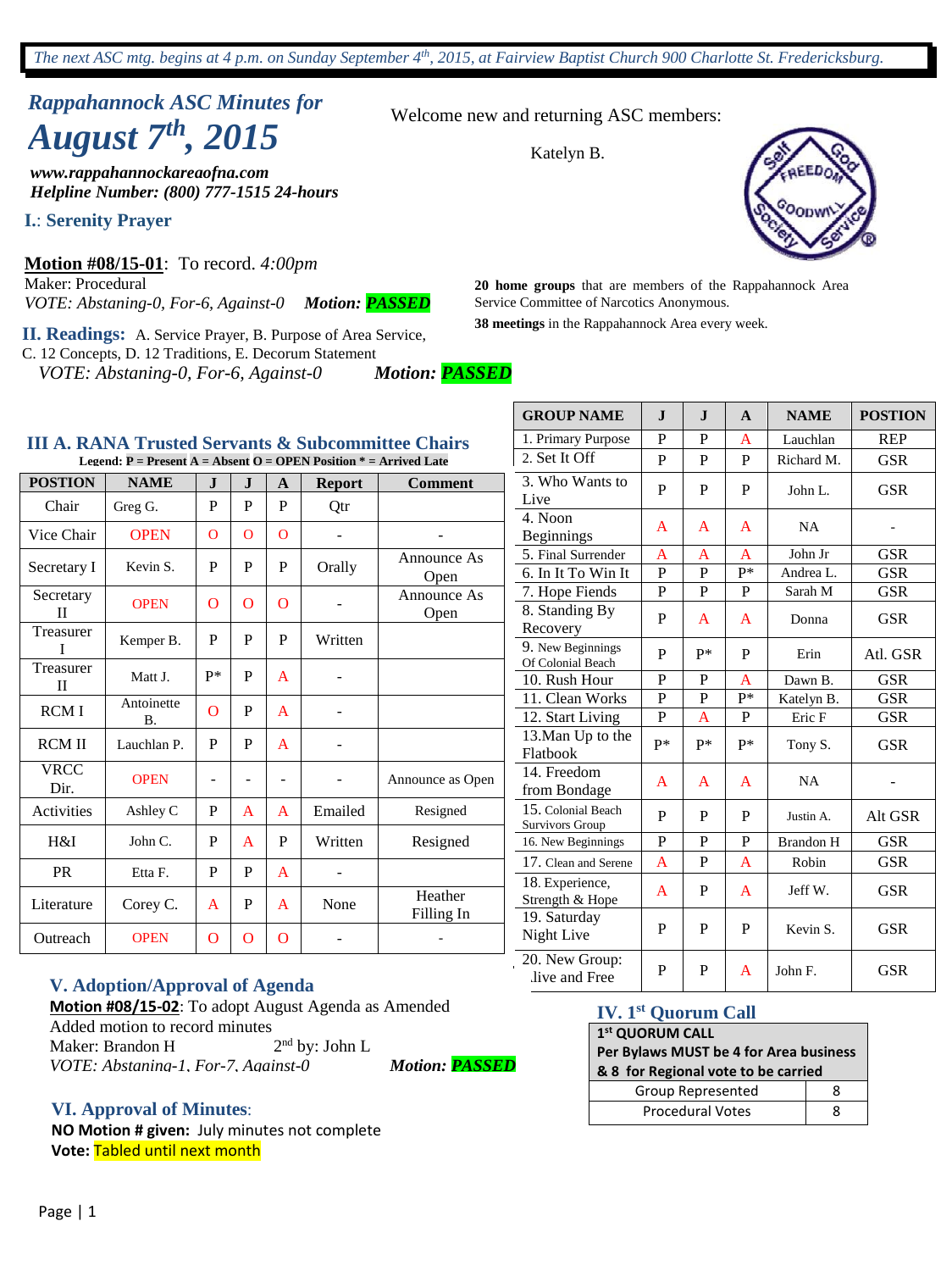*The next ASC mtg. begins at 4 p.m. on Sunday September 4th , 2015, at Fairview Baptist Church 900 Charlotte St. Fredericksburg.*

Welcome new and returning ASC members:

Katelyn B.

# *Rappahannock ASC Minutes for August 7 th , 2015*

*www.rappahannockareaofna.com Helpline Number: (800) 777-1515 24-hours*

**I.**: **Serenity Prayer**

**Motion #08/15-01**: To record. *4:00pm*  Maker: Procedural

*VOTE: Abstaning-0, For-6, Against-0 Motion: PASSED*

**II. Readings:** A. Service Prayer, B. Purpose of Area Service, C. 12 Concepts, D. 12 Traditions, E. Decorum Statement

*VOTE: Abstaning-0, For-6, Against-0 Motion: PASSED*

**38 meetings** in the Rappahannock Area every week. Service Committee of Narcotics Anonymous.

**20 home groups** that are members of the Rappahannock Area

|--|

| Legend: $P =$ Present A = Absent O = OPEN Position $* =$ Arrived Late |                         |          |          |              |               |                       |  |
|-----------------------------------------------------------------------|-------------------------|----------|----------|--------------|---------------|-----------------------|--|
| <b>POSTION</b>                                                        | <b>NAME</b>             | $\bf J$  | $\bf J$  | A            | <b>Report</b> | <b>Comment</b>        |  |
| Chair                                                                 | Greg G.                 | P        | P        | P            | Qtr           |                       |  |
| Vice Chair                                                            | <b>OPEN</b>             | $\Omega$ | $\Omega$ | $\mathbf{O}$ |               |                       |  |
| Secretary I                                                           | Kevin S.                | P        | P        | P            | Orally        | Announce As<br>Open   |  |
| Secretary<br>П                                                        | <b>OPEN</b>             | $\Omega$ | O        | $\Omega$     |               | Announce As<br>Open   |  |
| Treasurer<br>T                                                        | Kemper B.               | P        | P        | P            | Written       |                       |  |
| Treasurer<br>$\mathbf{I}$                                             | Matt J.                 | p*       | P        | A            |               |                       |  |
| <b>RCMI</b>                                                           | Antoinette<br><b>B.</b> | O        | P        | A            |               |                       |  |
| <b>RCM II</b>                                                         | Lauchlan P.             | P        | P        | A            |               |                       |  |
| <b>VRCC</b><br>Dir.                                                   | <b>OPEN</b>             |          |          |              |               | Announce as Open      |  |
| Activities                                                            | Ashley C                | P        | A        | A            | Emailed       | Resigned              |  |
| H&I                                                                   | John C.                 | P        | A        | P            | Written       | Resigned              |  |
| PR                                                                    | Etta F.                 | P        | P        | $\mathbf{A}$ |               |                       |  |
| Literature                                                            | Corey C.                | A        | P        | A            | None          | Heather<br>Filling In |  |
| Outreach                                                              | <b>OPEN</b>             | O        | O        | O            |               |                       |  |

| <b>V. Adoption/Approval of Agenda</b> |  |
|---------------------------------------|--|
|---------------------------------------|--|

**Motion #08/15-02**: To adopt August Agenda as Amended Added motion to record minutes Maker: Brandon H 2  $2<sup>nd</sup>$  by: John L *VOTE: Abstaning-1, For-7, Against-0 Motion: PASSED*

#### **VI. Approval of Minutes**:

**NO Motion # given:** July minutes not complete **Vote:** Tabled until next month

| <b>GROUP NAME</b>                      | $\mathbf{I}$ | $\mathbf{J}$ | A              | <b>NAME</b>      | <b>POSTION</b> |
|----------------------------------------|--------------|--------------|----------------|------------------|----------------|
| 1. Primary Purpose                     | P            | P            | A              | Lauchlan         | <b>REP</b>     |
| $2.$ Set It Off                        | P            | P            | P              | Richard M.       | <b>GSR</b>     |
| 3. Who Wants to<br>Live                | P            | P            | P              | John L.          | <b>GSR</b>     |
| 4. Noon<br><b>Beginnings</b>           | A            | A            | A              | <b>NA</b>        |                |
| 5. Final Surrender                     | A            | A            | A              | John Jr          | <b>GSR</b>     |
| 6. In It To Win It                     | P            | P            | $P^*$          | Andrea L.        | <b>GSR</b>     |
| 7. Hope Fiends                         | P            | P            | P              | Sarah M          | <b>GSR</b>     |
| 8. Standing By<br>Recovery             | P            | A            | A              | Donna            | <b>GSR</b>     |
| 9. New Beginnings<br>Of Colonial Beach | P            | p*           | P              | Erin             | Atl. GSR       |
| 10. Rush Hour                          | P            | P            | A              | Dawn B.          | <b>GSR</b>     |
| 11. Clean Works                        | P            | P            | P*             | Katelyn B.       | <b>GSR</b>     |
| 12. Start Living                       | P            | A            | P              | Eric F           | <b>GSR</b>     |
| 13. Man Up to the<br>Flatbook          | P*           | p*           | $P*$           | Tony S.          | <b>GSR</b>     |
| 14. Freedom<br>from Bondage            | A            | A            | A              | <b>NA</b>        |                |
| 15. Colonial Beach<br>Survivors Group  | P            | P            | P              | Justin A.        | Alt GSR        |
| 16. New Beginnings                     | P            | P            | P              | <b>Brandon H</b> | <b>GSR</b>     |
| 17. Clean and Serene                   | A            | $\mathbf P$  | $\overline{A}$ | Robin            | <b>GSR</b>     |
| 18. Experience,<br>Strength & Hope     | A            | P            | A              | Jeff W.          | <b>GSR</b>     |
| 19. Saturday<br>Night Live             | P            | P            | P              | Kevin S.         | <b>GSR</b>     |
| 20. New Group:<br>live and Free        | P            | P            | A              | John F.          | <b>GSR</b>     |

#### **IV. 1st Quorum Call**

# **1 st QUORUM CALL**

# **Per Bylaws MUST be 4 for Area business & 8 for Regional vote to be carried**

| Group Represented       |  |
|-------------------------|--|
| <b>Procedural Votes</b> |  |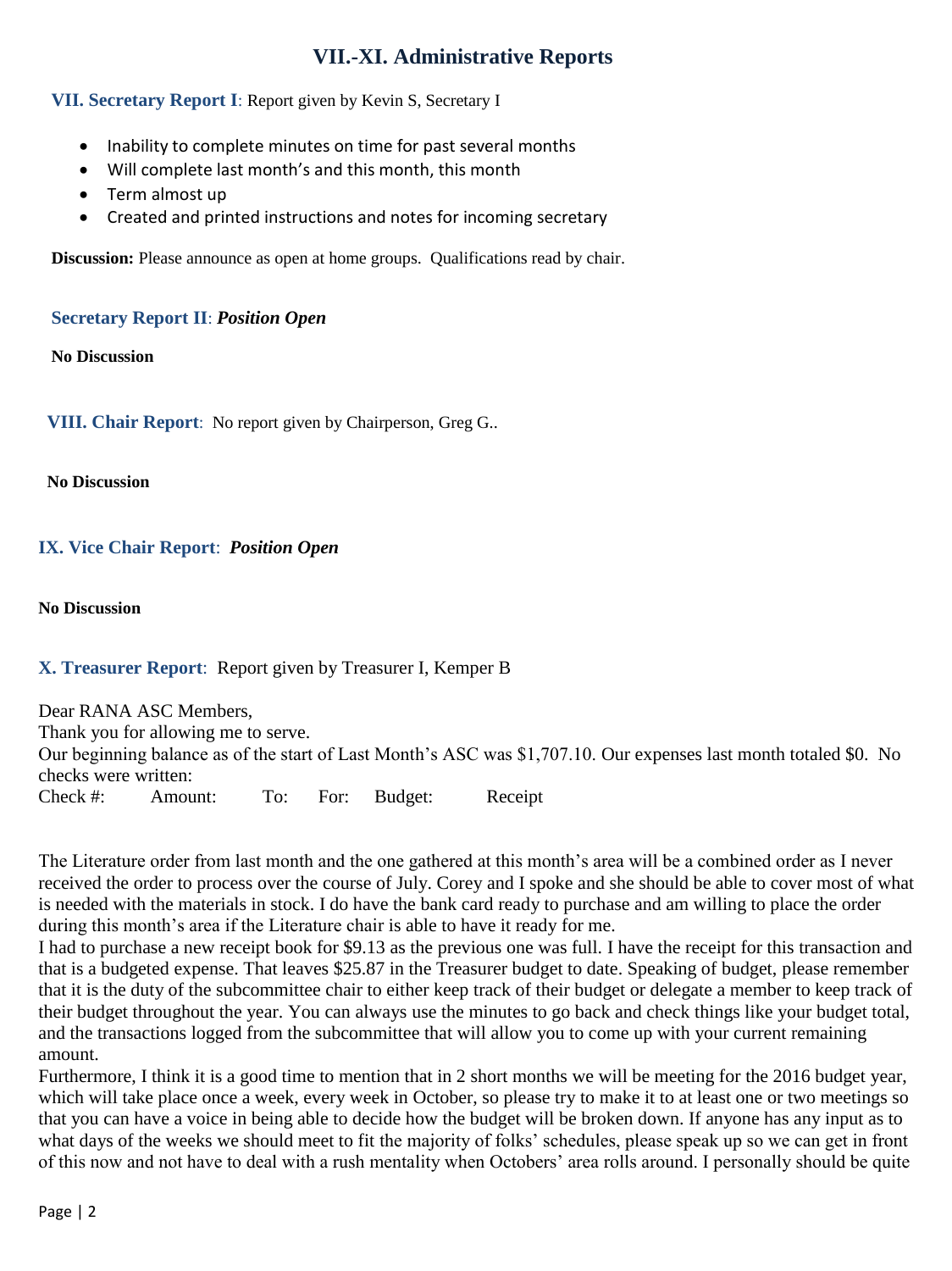# **VII.-XI. Administrative Reports**

#### **VII. Secretary Report I**: Report given by Kevin S, Secretary I

- Inability to complete minutes on time for past several months
- Will complete last month's and this month, this month
- Term almost up
- Created and printed instructions and notes for incoming secretary

**Discussion:** Please announce as open at home groups. Qualifications read by chair.

#### **Secretary Report II**: *Position Open*

**No Discussion**

**VIII. Chair Report**: No report given by Chairperson, Greg G..

**No Discussion**

#### **IX. Vice Chair Report**: *Position Open*

**No Discussion**

#### **X. Treasurer Report**: Report given by Treasurer I, Kemper B

Dear RANA ASC Members, Thank you for allowing me to serve. Our beginning balance as of the start of Last Month's ASC was \$1,707.10. Our expenses last month totaled \$0. No checks were written: Check #: Amount: To: For: Budget: Receipt

The Literature order from last month and the one gathered at this month's area will be a combined order as I never received the order to process over the course of July. Corey and I spoke and she should be able to cover most of what is needed with the materials in stock. I do have the bank card ready to purchase and am willing to place the order during this month's area if the Literature chair is able to have it ready for me.

I had to purchase a new receipt book for \$9.13 as the previous one was full. I have the receipt for this transaction and that is a budgeted expense. That leaves \$25.87 in the Treasurer budget to date. Speaking of budget, please remember that it is the duty of the subcommittee chair to either keep track of their budget or delegate a member to keep track of their budget throughout the year. You can always use the minutes to go back and check things like your budget total, and the transactions logged from the subcommittee that will allow you to come up with your current remaining amount.

Furthermore, I think it is a good time to mention that in 2 short months we will be meeting for the 2016 budget year, which will take place once a week, every week in October, so please try to make it to at least one or two meetings so that you can have a voice in being able to decide how the budget will be broken down. If anyone has any input as to what days of the weeks we should meet to fit the majority of folks' schedules, please speak up so we can get in front of this now and not have to deal with a rush mentality when Octobers' area rolls around. I personally should be quite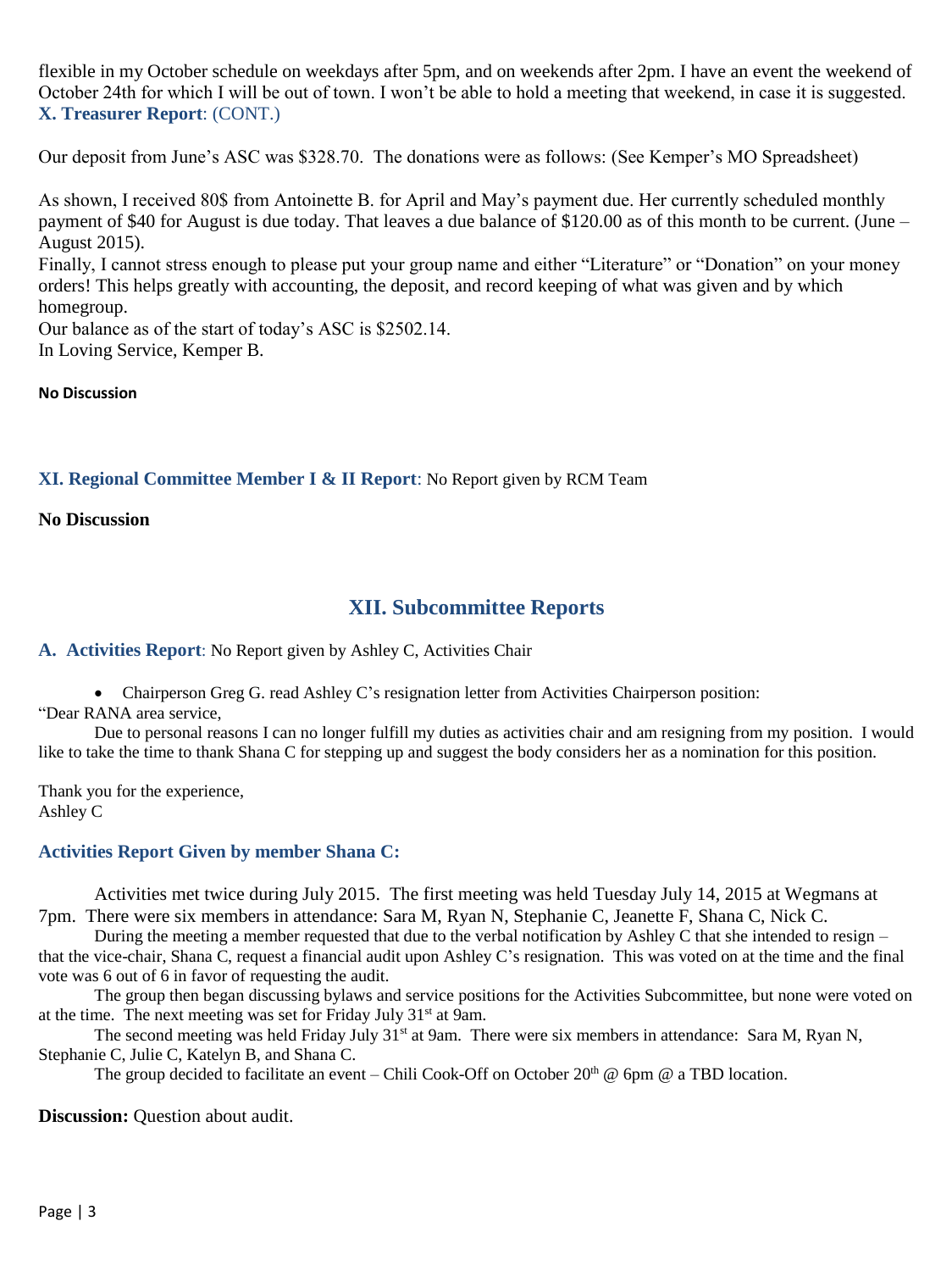flexible in my October schedule on weekdays after 5pm, and on weekends after 2pm. I have an event the weekend of October 24th for which I will be out of town. I won't be able to hold a meeting that weekend, in case it is suggested. **X. Treasurer Report**: (CONT.)

Our deposit from June's ASC was \$328.70. The donations were as follows: (See Kemper's MO Spreadsheet)

As shown, I received 80\$ from Antoinette B. for April and May's payment due. Her currently scheduled monthly payment of \$40 for August is due today. That leaves a due balance of \$120.00 as of this month to be current. (June – August 2015).

Finally, I cannot stress enough to please put your group name and either "Literature" or "Donation" on your money orders! This helps greatly with accounting, the deposit, and record keeping of what was given and by which homegroup.

Our balance as of the start of today's ASC is \$2502.14.

In Loving Service, Kemper B.

**No Discussion**

#### **XI. Regional Committee Member I & II Report**: No Report given by RCM Team

#### **No Discussion**

# **XII. Subcommittee Reports**

**A. Activities Report**: No Report given by Ashley C, Activities Chair

Chairperson Greg G. read Ashley C's resignation letter from Activities Chairperson position:

"Dear RANA area service,

Due to personal reasons I can no longer fulfill my duties as activities chair and am resigning from my position. I would like to take the time to thank Shana C for stepping up and suggest the body considers her as a nomination for this position.

Thank you for the experience, Ashley C

#### **Activities Report Given by member Shana C:**

Activities met twice during July 2015. The first meeting was held Tuesday July 14, 2015 at Wegmans at 7pm. There were six members in attendance: Sara M, Ryan N, Stephanie C, Jeanette F, Shana C, Nick C.

During the meeting a member requested that due to the verbal notification by Ashley C that she intended to resign – that the vice-chair, Shana C, request a financial audit upon Ashley C's resignation. This was voted on at the time and the final vote was 6 out of 6 in favor of requesting the audit.

The group then began discussing bylaws and service positions for the Activities Subcommittee, but none were voted on at the time. The next meeting was set for Friday July 31st at 9am.

The second meeting was held Friday July 31<sup>st</sup> at 9am. There were six members in attendance: Sara M, Ryan N, Stephanie C, Julie C, Katelyn B, and Shana C.

The group decided to facilitate an event – Chili Cook-Off on October 20<sup>th</sup> @ 6pm @ a TBD location.

**Discussion:** Question about audit.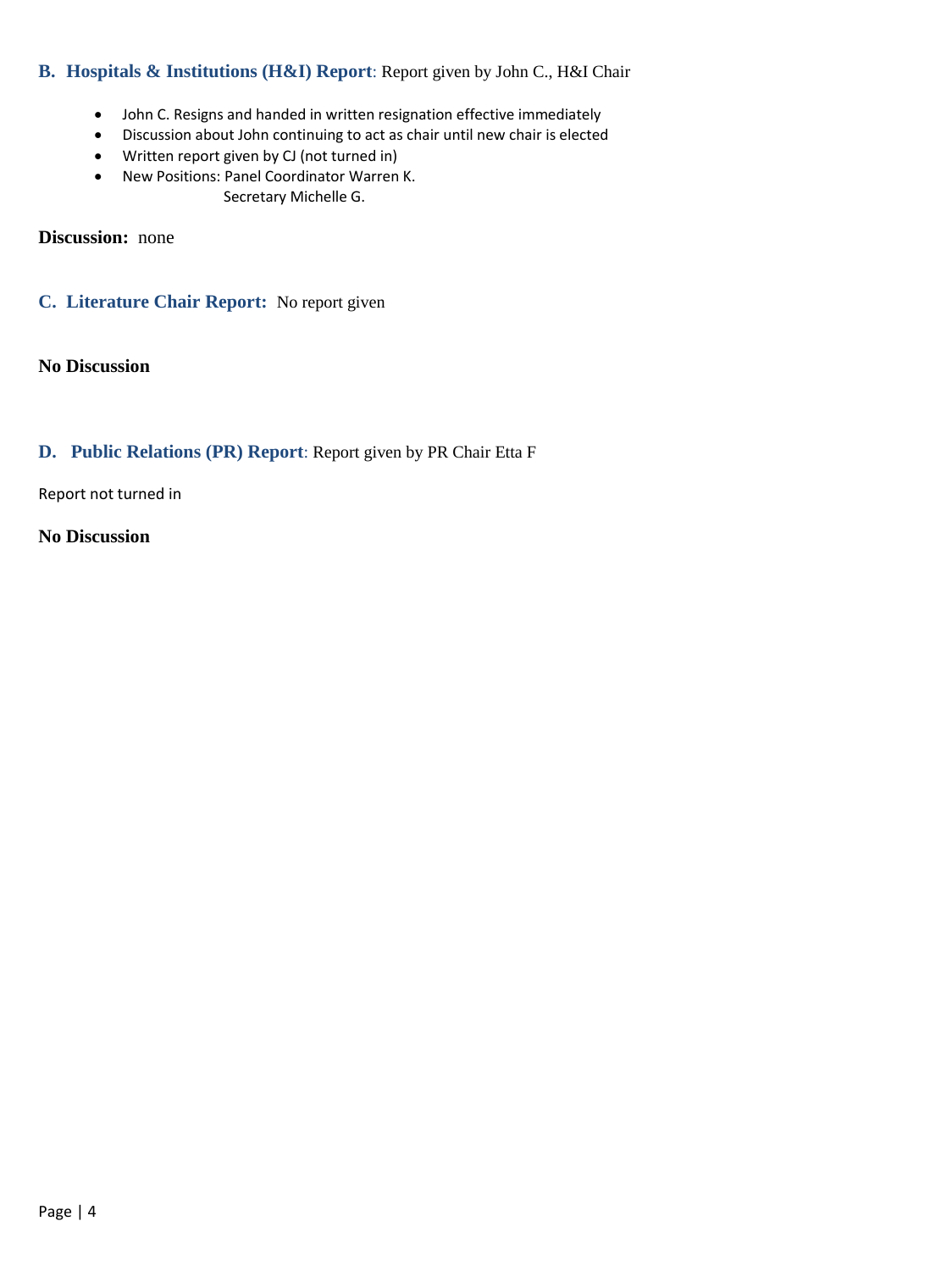#### **B. Hospitals & Institutions (H&I) Report**: Report given by John C., H&I Chair

- John C. Resigns and handed in written resignation effective immediately
- Discussion about John continuing to act as chair until new chair is elected
- Written report given by CJ (not turned in)
- New Positions: Panel Coordinator Warren K. Secretary Michelle G.

**Discussion:** none

**C. Literature Chair Report:** No report given

**No Discussion**

#### **D. Public Relations (PR) Report**: Report given by PR Chair Etta F

Report not turned in

**No Discussion**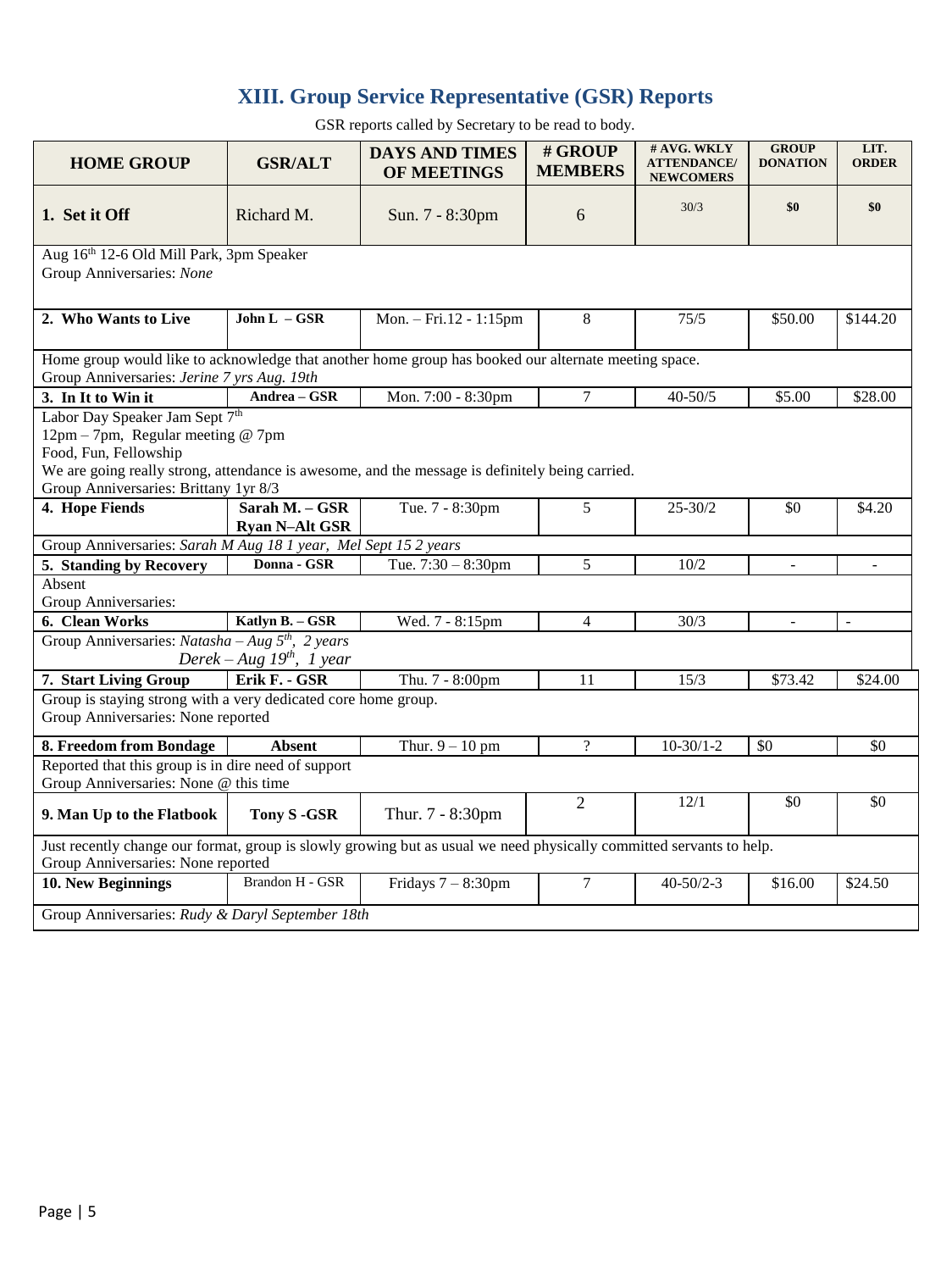# **XIII. Group Service Representative (GSR) Reports**

**HOME GROUP GSR/ALT DAYS AND TIMES OF MEETINGS # GROUP MEMBERS # AVG. WKLY ATTENDANCE/ NEWCOMERS GROUP DONATION LIT. ORDER 1. Set it Off** Richard M. Sun. 7 - 8:30pm 6 30/3 **\$0 \$0** Aug 16th 12-6 Old Mill Park, 3pm Speaker Group Anniversaries: *None* **2. Who Wants to Live | John L – GSR** | Mon. – Fri.12 - 1:15pm | 8 | 75/5 | \$50.00 | \$144.20 Home group would like to acknowledge that another home group has booked our alternate meeting space. Group Anniversaries: *Jerine 7 yrs Aug. 19th* **3.** In It to Win it **Andrea – GSR** Mon. 7:00 - 8:30pm 7 40-50/5 \$5.00 \$28.00 Labor Day Speaker Jam Sept 7<sup>th</sup> 12pm – 7pm, Regular meeting @ 7pm Food, Fun, Fellowship We are going really strong, attendance is awesome, and the message is definitely being carried. Group Anniversaries: Brittany 1yr 8/3 **4. Hope Fiends Sarah M. – GSR Ryan N–Alt GSR** Tue. 7 - 8:30pm 5 25-30/2 \$0 \$4.20 Group Anniversaries: *Sarah M Aug 18 1 year, Mel Sept 15 2 years* **5. Standing by Recovery** Donna - GSR Tue. 7:30 – 8:30pm 5 10/2 -Absent Group Anniversaries: **6. Clean Works Katlyn B. – GSR** Wed. 7 - 8:15pm 4 30/3 - -Group Anniversaries: *Natasha – Aug 5 th , 2 years Derek – Aug 19th , 1 year* **7. Start Living Group Erik F. - GSR** Thu. 7 - 8:00pm 11 15/3 \$73.42 \$24.00 Group is staying strong with a very dedicated core home group. Group Anniversaries: None reported **8. Freedom from Bondage Absent** Thur.  $9-10$  pm ? 10-30/1-2 \$0 \$0 Reported that this group is in dire need of support Group Anniversaries: None @ this time **9. Man Up to the Flatbook Tony S -GSR** Thur. 7 - 8:30pm <sup>2</sup> 12/1 \$0 \$0 Just recently change our format, group is slowly growing but as usual we need physically committed servants to help. Group Anniversaries: None reported **10. New Beginnings** Brandon H - GSR Fridays 7 – 8:30pm 7 40-50/2-3 \$16.00 \$24.50 Group Anniversaries: *Rudy & Daryl September 18th*

GSR reports called by Secretary to be read to body.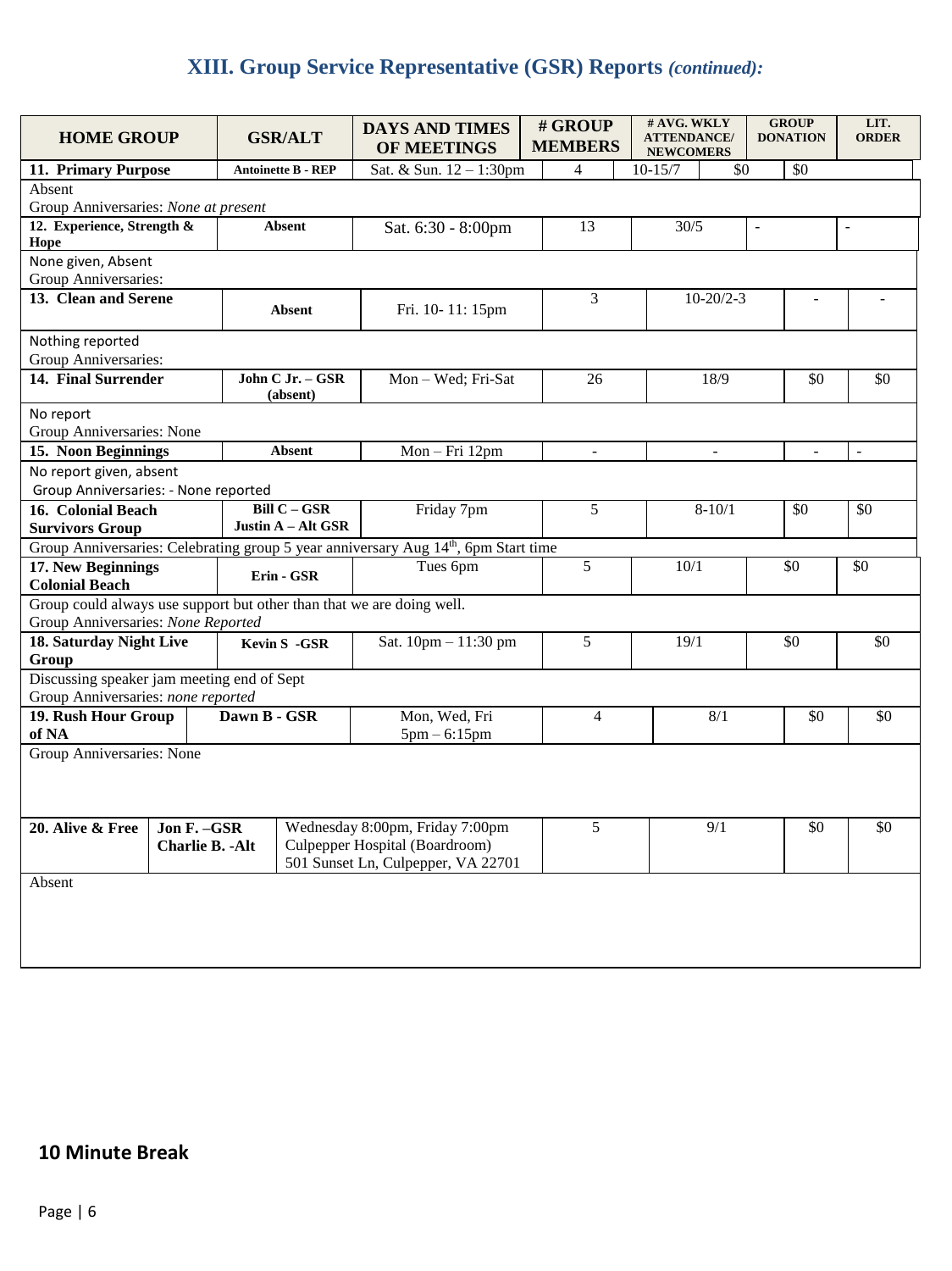# **XIII. Group Service Representative (GSR) Reports** *(continued):*

| <b>HOME GROUP</b>                                                     |              |                                    | <b>GSR/ALT</b>                 | <b>DAYS AND TIMES</b><br>OF MEETINGS                                               |  | # GROUP<br><b>MEMBERS</b> | # AVG. WKLY<br><b>ATTENDANCE/</b><br><b>NEWCOMERS</b> |                 | <b>GROUP</b><br><b>DONATION</b> |                | LIT.<br><b>ORDER</b>     |
|-----------------------------------------------------------------------|--------------|------------------------------------|--------------------------------|------------------------------------------------------------------------------------|--|---------------------------|-------------------------------------------------------|-----------------|---------------------------------|----------------|--------------------------|
| 11. Primary Purpose                                                   |              | <b>Antoinette B - REP</b>          |                                | Sat. & Sun. 12 - 1:30pm                                                            |  | $\overline{4}$            | $10 - 15/7$                                           | \$0             |                                 | \$0            |                          |
| Absent                                                                |              |                                    |                                |                                                                                    |  |                           |                                                       |                 |                                 |                |                          |
| Group Anniversaries: None at present                                  |              |                                    |                                |                                                                                    |  |                           |                                                       |                 |                                 |                |                          |
| 12. Experience, Strength &<br>Hope                                    |              |                                    | <b>Absent</b>                  | Sat. 6:30 - 8:00pm                                                                 |  | 13                        | 30/5                                                  |                 | $\overline{\phantom{a}}$        |                | $\overline{\phantom{a}}$ |
| None given, Absent<br>Group Anniversaries:                            |              |                                    |                                |                                                                                    |  |                           |                                                       |                 |                                 |                |                          |
| 13. Clean and Serene                                                  |              |                                    |                                |                                                                                    |  | 3                         |                                                       | $10 - 20/2 - 3$ |                                 |                |                          |
|                                                                       |              |                                    | Absent                         | Fri. 10-11: 15pm                                                                   |  |                           |                                                       |                 |                                 |                |                          |
| Nothing reported                                                      |              |                                    |                                |                                                                                    |  |                           |                                                       |                 |                                 |                |                          |
| Group Anniversaries:                                                  |              |                                    |                                |                                                                                    |  |                           |                                                       |                 |                                 |                |                          |
| 14. Final Surrender                                                   |              |                                    | John C Jr. - GSR<br>(absent)   | Mon-Wed; Fri-Sat                                                                   |  | 26                        |                                                       | 18/9            |                                 | \$0            | \$0                      |
| No report                                                             |              |                                    |                                |                                                                                    |  |                           |                                                       |                 |                                 |                |                          |
| Group Anniversaries: None                                             |              |                                    |                                |                                                                                    |  |                           |                                                       |                 |                                 |                |                          |
| 15. Noon Beginnings                                                   |              |                                    | <b>Absent</b>                  | Mon-Fri 12pm                                                                       |  | $\blacksquare$            | $\overline{\phantom{a}}$                              |                 |                                 | $\blacksquare$ | $\frac{1}{2}$            |
| No report given, absent                                               |              |                                    |                                |                                                                                    |  |                           |                                                       |                 |                                 |                |                          |
| Group Anniversaries: - None reported                                  |              |                                    |                                |                                                                                    |  |                           |                                                       |                 |                                 |                |                          |
| 16. Colonial Beach                                                    |              | Bill $C - GSR$                     |                                | Friday 7pm<br>5                                                                    |  | $8 - 10/1$                |                                                       |                 | \$0                             | \$0            |                          |
| <b>Survivors Group</b>                                                |              |                                    | Justin A - Alt GSR             |                                                                                    |  |                           |                                                       |                 |                                 |                |                          |
|                                                                       |              |                                    |                                | Group Anniversaries: Celebrating group 5 year anniversary Aug 14th, 6pm Start time |  |                           |                                                       |                 |                                 |                |                          |
| 17. New Beginnings                                                    |              | Erin - GSR                         |                                | Tues 6pm                                                                           |  | 5                         | 10/1                                                  |                 |                                 | \$0            | \$0                      |
| <b>Colonial Beach</b>                                                 |              |                                    |                                |                                                                                    |  |                           |                                                       |                 |                                 |                |                          |
| Group could always use support but other than that we are doing well. |              |                                    |                                |                                                                                    |  |                           |                                                       |                 |                                 |                |                          |
| Group Anniversaries: None Reported                                    |              |                                    |                                | Sat. 10pm - 11:30 pm                                                               |  | 5                         | 19/1                                                  |                 |                                 | \$0            | \$0                      |
| 18. Saturday Night Live<br>Group                                      |              | Kevin S -GSR                       |                                |                                                                                    |  |                           |                                                       |                 |                                 |                |                          |
| Discussing speaker jam meeting end of Sept                            |              |                                    |                                |                                                                                    |  |                           |                                                       |                 |                                 |                |                          |
| Group Anniversaries: none reported                                    |              |                                    |                                |                                                                                    |  |                           |                                                       |                 |                                 |                |                          |
| 19. Rush Hour Group                                                   |              | Dawn B - GSR                       |                                | Mon, Wed, Fri                                                                      |  | $\overline{4}$            |                                                       | 8/1             |                                 | \$0            | \$0                      |
| of NA                                                                 |              |                                    |                                | $5pm - 6:15pm$                                                                     |  |                           |                                                       |                 |                                 |                |                          |
| Group Anniversaries: None                                             |              |                                    |                                |                                                                                    |  |                           |                                                       |                 |                                 |                |                          |
|                                                                       |              |                                    |                                |                                                                                    |  |                           |                                                       |                 |                                 |                |                          |
|                                                                       |              |                                    |                                |                                                                                    |  |                           |                                                       |                 |                                 |                |                          |
| 20. Alive & Free                                                      | Jon F. - GSR |                                    |                                | Wednesday 8:00pm, Friday 7:00pm                                                    |  | 5                         |                                                       | 9/1             |                                 | \$0            | \$0                      |
| <b>Charlie B. - Alt</b>                                               |              |                                    | Culpepper Hospital (Boardroom) |                                                                                    |  |                           |                                                       |                 |                                 |                |                          |
|                                                                       |              | 501 Sunset Ln, Culpepper, VA 22701 |                                |                                                                                    |  |                           |                                                       |                 |                                 |                |                          |
| Absent                                                                |              |                                    |                                |                                                                                    |  |                           |                                                       |                 |                                 |                |                          |
|                                                                       |              |                                    |                                |                                                                                    |  |                           |                                                       |                 |                                 |                |                          |
|                                                                       |              |                                    |                                |                                                                                    |  |                           |                                                       |                 |                                 |                |                          |
|                                                                       |              |                                    |                                |                                                                                    |  |                           |                                                       |                 |                                 |                |                          |

### **10 Minute Break**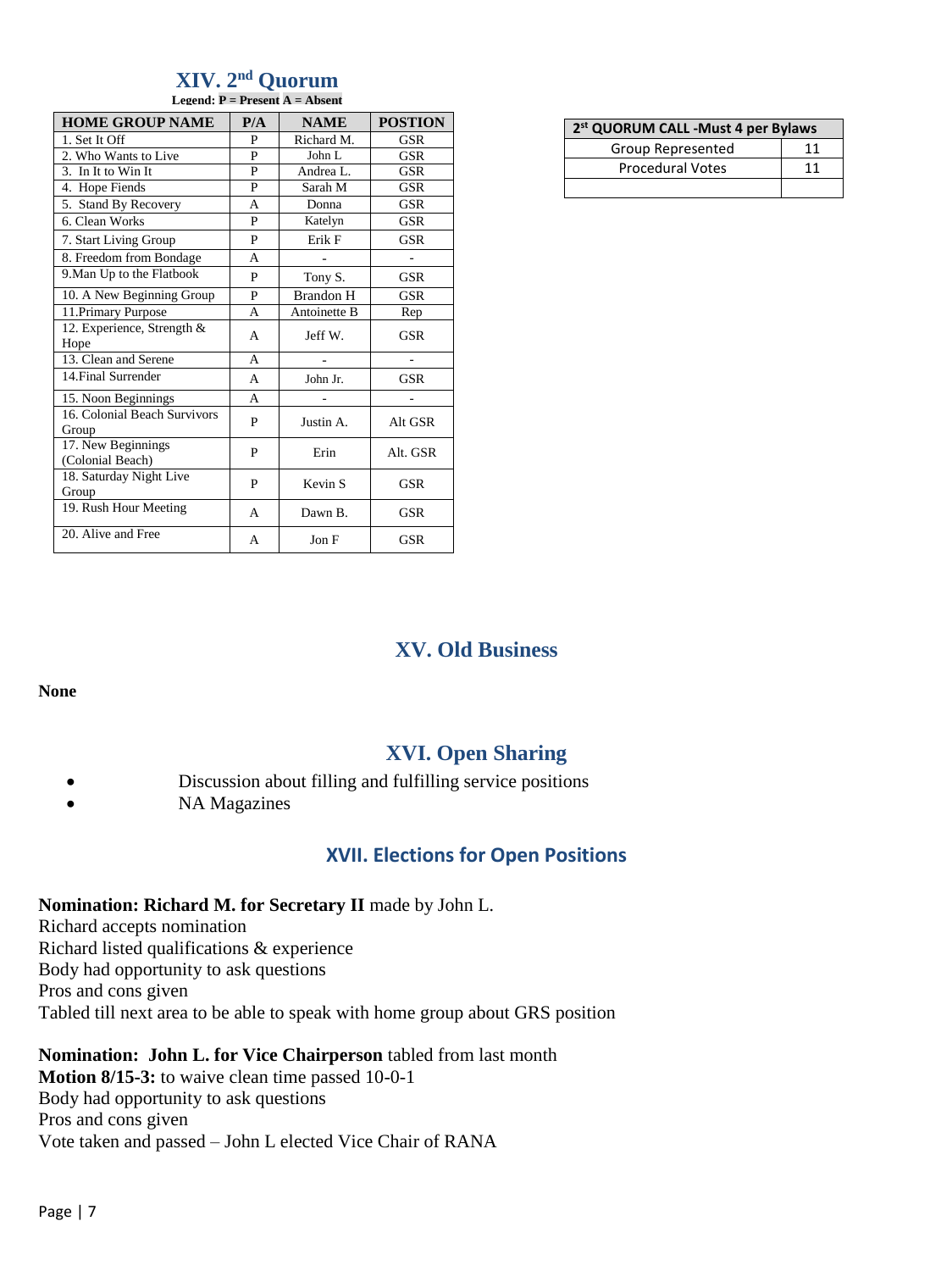#### **XIV. 2 nd Quorum Legend: P = Present A = Absent**

| <b>HOME GROUP NAME</b>                 | P/A | <b>NAME</b>        | <b>POSTION</b> |
|----------------------------------------|-----|--------------------|----------------|
| 1. Set It Off                          | P   | Richard M.         | GSR            |
| 2. Who Wants to Live                   | P   | John L             | GSR            |
| 3. In It to Win It                     | P   | Andrea L.          | <b>GSR</b>     |
| 4. Hope Fiends                         | P   | Sarah M            | GSR            |
| 5. Stand By Recovery                   | A   | Donna              | GSR            |
| 6. Clean Works                         | P   | Katelyn            | GSR            |
| 7. Start Living Group                  | P   | Erik F             | GSR            |
| 8. Freedom from Bondage                | A   |                    |                |
| 9. Man Up to the Flatbook              | P   | Tony S.            | <b>GSR</b>     |
| 10. A New Beginning Group              | P   | <b>Brandon H</b>   | GSR            |
| 11. Primary Purpose                    | A   | Antoinette B       | Rep            |
| 12. Experience, Strength &<br>Hope     | A   | Jeff W.            | GSR            |
| 13. Clean and Serene                   | A   | $\overline{a}$     | ٠              |
| 14. Final Surrender                    | A   | John Jr.           | <b>GSR</b>     |
| 15. Noon Beginnings                    | A   |                    |                |
| 16. Colonial Beach Survivors<br>Group  | P   | Justin A.          | Alt GSR        |
| 17. New Beginnings<br>(Colonial Beach) | P   | Erin               | Alt. GSR       |
| 18. Saturday Night Live<br>Group       | P   | Kevin <sub>S</sub> | GSR            |
| 19. Rush Hour Meeting                  | A   | Dawn B.            | GSR            |
| 20. Alive and Free                     | A   | Jon F              | <b>GSR</b>     |

| 2 <sup>st</sup> QUORUM CALL -Must 4 per Bylaws |    |  |  |  |  |
|------------------------------------------------|----|--|--|--|--|
| Group Represented                              | 11 |  |  |  |  |
| <b>Procedural Votes</b>                        | 11 |  |  |  |  |
|                                                |    |  |  |  |  |

# **XV. Old Business**

**None**

# **XVI. Open Sharing**

- Discussion about filling and fulfilling service positions
- NA Magazines

### **XVII. Elections for Open Positions**

#### **Nomination: Richard M. for Secretary II** made by John L.

Richard accepts nomination Richard listed qualifications & experience Body had opportunity to ask questions Pros and cons given Tabled till next area to be able to speak with home group about GRS position

#### **Nomination: John L. for Vice Chairperson** tabled from last month

**Motion 8/15-3:** to waive clean time passed 10-0-1 Body had opportunity to ask questions Pros and cons given Vote taken and passed – John L elected Vice Chair of RANA